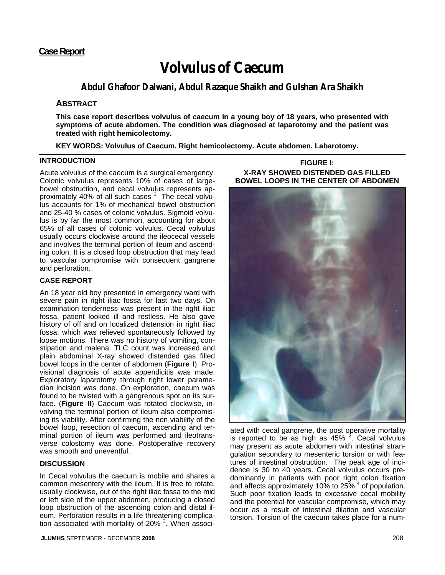# **Case Report**

# **Volvulus of Caecum**

# **Abdul Ghafoor Dalwani, Abdul Razaque Shaikh and Gulshan Ara Shaikh**

## **ABSTRACT**

**This case report describes volvulus of caecum in a young boy of 18 years, who presented with symptoms of acute abdomen. The condition was diagnosed at laparotomy and the patient was treated with right hemicolectomy.** 

**KEY WORDS: Volvulus of Caecum. Right hemicolectomy. Acute abdomen. Labarotomy.**

## **INTRODUCTION**

Acute volvulus of the caecum is a surgical emergency. Colonic volvulus represents 10% of cases of largebowel obstruction, and cecal volvulus represents approximately 40% of all such cases  $1$ , The cecal volvulus accounts for 1% of mechanical bowel obstruction and 25-40 % cases of colonic volvulus. Sigmoid volvulus is by far the most common, accounting for about 65% of all cases of colonic volvulus. Cecal volvulus usually occurs clockwise around the ileocecal vessels and involves the terminal portion of ileum and ascending colon. It is a closed loop obstruction that may lead to vascular compromise with consequent gangrene and perforation.

## **CASE REPORT**

An 18 year old boy presented in emergency ward with severe pain in right iliac fossa for last two days. On examination tenderness was present in the right iliac fossa, patient looked ill and restless. He also gave history of off and on localized distension in right iliac fossa, which was relieved spontaneously followed by loose motions. There was no history of vomiting, constipation and malena. TLC count was increased and plain abdominal X-ray showed distended gas filled bowel loops in the center of abdomen (**Figure I**). Provisional diagnosis of acute appendicitis was made. Exploratory laparotomy through right lower paramedian incision was done. On exploration, caecum was found to be twisted with a gangrenous spot on its surface. (**Figure II**) Caecum was rotated clockwise, involving the terminal portion of ileum also compromising its viability. After confirming the non viability of the bowel loop, resection of caecum, ascending and terminal portion of ileum was performed and ileotransverse colostomy was done. Postoperative recovery was smooth and uneventful.

## **DISCUSSION**

In Cecal volvulus the caecum is mobile and shares a common mesentery with the ileum. It is free to rotate, usually clockwise, out of the right iliac fossa to the mid or left side of the upper abdomen, producing a closed loop obstruction of the ascending colon and distal ileum. Perforation results in a life threatening complication associated with mortality of 20% <sup>2</sup>. When associ-

## **FIGURE I: X-RAY SHOWED DISTENDED GAS FILLED BOWEL LOOPS IN THE CENTER OF ABDOMEN**



ated with cecal gangrene, the post operative mortality is reported to be as high as  $45\%$   $3$ . Cecal volvulus may present as acute abdomen with intestinal strangulation secondary to mesenteric torsion or with features of intestinal obstruction. The peak age of incidence is 30 to 40 years. Cecal volvulus occurs predominantly in patients with poor right colon fixation and affects approximately 10% to 25% <sup>4</sup> of population. Such poor fixation leads to excessive cecal mobility and the potential for vascular compromise, which may occur as a result of intestinal dilation and vascular